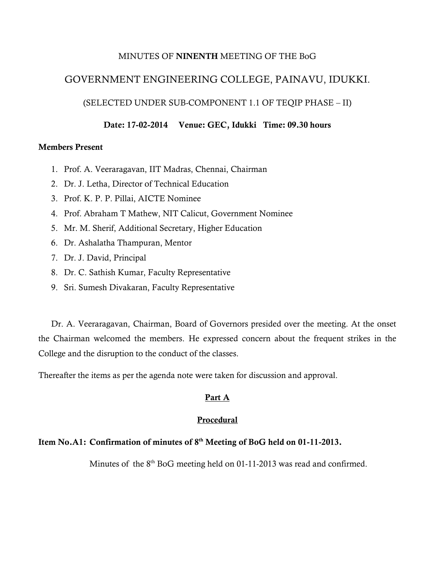## MINUTES OF **NINENTH** MEETING OF THE BoG

## GOVERNMENT ENGINEERING COLLEGE, PAINAVU, IDUKKI.

(SELECTED UNDER SUB-COMPONENT 1.1 OF TEQIP PHASE – II)

### **Date: 17-02-2014 Venue: GEC, Idukki Time: 09.30 hours**

#### **Members Present**

- 1. Prof. A. Veeraragavan, IIT Madras, Chennai, Chairman
- 2. Dr. J. Letha, Director of Technical Education
- 3. Prof. K. P. P. Pillai, AICTE Nominee
- 4. Prof. Abraham T Mathew, NIT Calicut, Government Nominee
- 5. Mr. M. Sherif, Additional Secretary, Higher Education
- 6. Dr. Ashalatha Thampuran, Mentor
- 7. Dr. J. David, Principal
- 8. Dr. C. Sathish Kumar, Faculty Representative
- 9. Sri. Sumesh Divakaran, Faculty Representative

Dr. A. Veeraragavan, Chairman, Board of Governors presided over the meeting. At the onset the Chairman welcomed the members. He expressed concern about the frequent strikes in the College and the disruption to the conduct of the classes.

Thereafter the items as per the agenda note were taken for discussion and approval.

## **Part A**

## **Procedural**

## **Item No.A1: Confirmation of minutes of 8 th Meeting of BoG held on 01-11-2013.**

Minutes of the 8<sup>th</sup> BoG meeting held on 01-11-2013 was read and confirmed.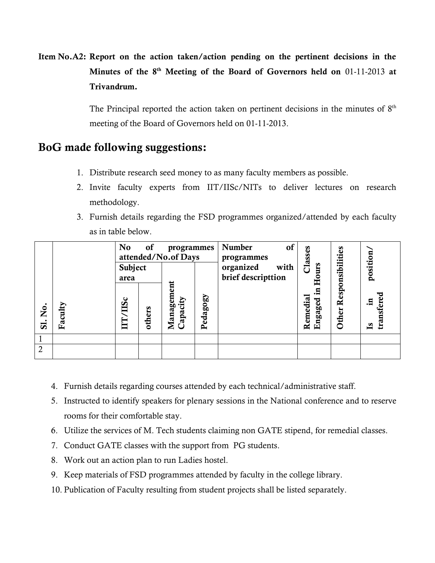**Item No.A2: Report on the action taken/action pending on the pertinent decisions in the Minutes of the 8 th Meeting of the Board of Governors held on** 01-11-2013 **at Trivandrum.**

> The Principal reported the action taken on pertinent decisions in the minutes of  $8<sup>th</sup>$ meeting of the Board of Governors held on 01-11-2013.

# **BoG made following suggestions:**

- 1. Distribute research seed money to as many faculty members as possible.
- 2. Invite faculty experts from IIT/IISc/NITs to deliver lectures on research methodology.
- 3. Furnish details regarding the FSD programmes organized/attended by each faculty as in table below.

|                |         | N <sub>o</sub><br>of<br>programmes<br>attended/No.of Days |        |                       | of<br><b>Number</b><br>programmes | Classes                                 |                     |                  |                                   |
|----------------|---------|-----------------------------------------------------------|--------|-----------------------|-----------------------------------|-----------------------------------------|---------------------|------------------|-----------------------------------|
|                |         | Subject<br>area                                           |        |                       |                                   | organized<br>with<br>brief descripttion | ours<br>臣           | Responsibilities | position.                         |
| 。<br>No<br>SI. | Faculty | $\frac{1}{2}$                                             | others | Management<br>apacity | Pedagogy                          |                                         | Remedial<br>Engaged | Other            | transfered<br>- 드<br>$\mathbf{S}$ |
|                |         |                                                           |        |                       |                                   |                                         |                     |                  |                                   |
| $\overline{2}$ |         |                                                           |        |                       |                                   |                                         |                     |                  |                                   |

- 4. Furnish details regarding courses attended by each technical/administrative staff.
- 5. Instructed to identify speakers for plenary sessions in the National conference and to reserve rooms for their comfortable stay.
- 6. Utilize the services of M. Tech students claiming non GATE stipend, for remedial classes.
- 7. Conduct GATE classes with the support from PG students.
- 8. Work out an action plan to run Ladies hostel.
- 9. Keep materials of FSD programmes attended by faculty in the college library.
- 10. Publication of Faculty resulting from student projects shall be listed separately.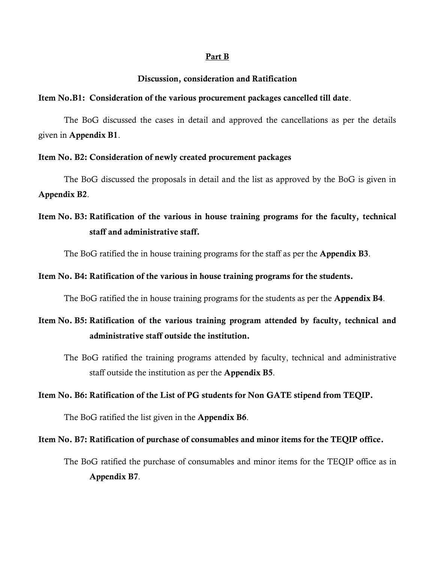#### **Part B**

#### **Discussion, consideration and Ratification**

### **Item No.B1: Consideration of the various procurement packages cancelled till date**.

The BoG discussed the cases in detail and approved the cancellations as per the details given in **Appendix B1**.

### **Item No. B2: Consideration of newly created procurement packages**

The BoG discussed the proposals in detail and the list as approved by the BoG is given in **Appendix B2**.

## **Item No. B3: Ratification of the various in house training programs for the faculty, technical staff and administrative staff.**

The BoG ratified the in house training programs for the staff as per the **Appendix B3**.

#### **Item No. B4: Ratification of the various in house training programs for the students.**

The BoG ratified the in house training programs for the students as per the **Appendix B4**.

# **Item No. B5: Ratification of the various training program attended by faculty, technical and administrative staff outside the institution.**

The BoG ratified the training programs attended by faculty, technical and administrative staff outside the institution as per the **Appendix B5**.

## **Item No. B6: Ratification of the List of PG students for Non GATE stipend from TEQIP.**

The BoG ratified the list given in the **Appendix B6**.

### **Item No. B7: Ratification of purchase of consumables and minor items for the TEQIP office.**

The BoG ratified the purchase of consumables and minor items for the TEQIP office as in **Appendix B7**.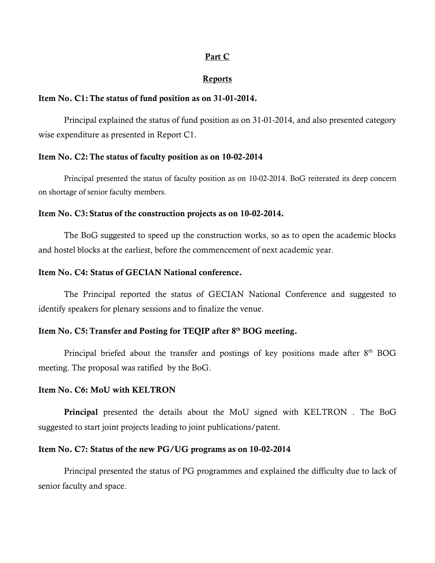### **Part C**

#### **Reports**

#### **Item No. C1:The status of fund position as on 31-01-2014.**

Principal explained the status of fund position as on 31-01-2014, and also presented category wise expenditure as presented in Report C1.

#### **Item No. C2:The status of faculty position as on 10-02-2014**

Principal presented the status of faculty position as on 10-02-2014. BoG reiterated its deep concern on shortage of senior faculty members.

#### **Item No. C3: Status of the construction projects as on 10-02-2014.**

The BoG suggested to speed up the construction works, so as to open the academic blocks and hostel blocks at the earliest, before the commencement of next academic year.

#### **Item No. C4: Status of GECIAN National conference.**

The Principal reported the status of GECIAN National Conference and suggested to identify speakers for plenary sessions and to finalize the venue.

#### **Item No. C5:Transfer and Posting for TEQIP after 8th BOG meeting.**

Principal briefed about the transfer and postings of key positions made after  $8<sup>th</sup>$  BOG meeting. The proposal was ratified by the BoG.

#### **Item No. C6: MoU with KELTRON**

**Principal** presented the details about the MoU signed with KELTRON . The BoG suggested to start joint projects leading to joint publications/patent.

#### **Item No. C7: Status of the new PG/UG programs as on 10-02-2014**

Principal presented the status of PG programmes and explained the difficulty due to lack of senior faculty and space.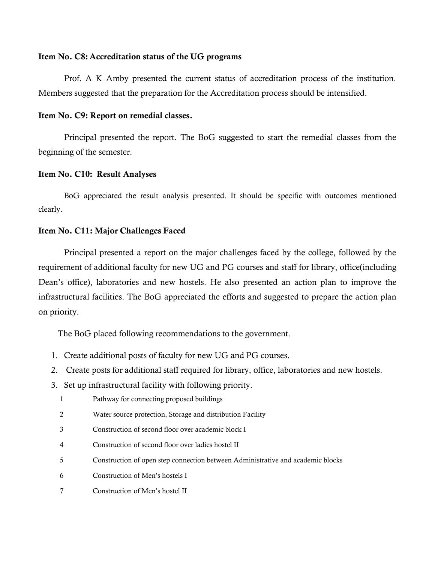## **Item No. C8:Accreditation status of the UG programs**

Prof. A K Amby presented the current status of accreditation process of the institution. Members suggested that the preparation for the Accreditation process should be intensified.

## **Item No. C9: Report on remedial classes.**

Principal presented the report. The BoG suggested to start the remedial classes from the beginning of the semester.

## **Item No. C10: Result Analyses**

BoG appreciated the result analysis presented. It should be specific with outcomes mentioned clearly.

## **Item No. C11: Major Challenges Faced**

Principal presented a report on the major challenges faced by the college, followed by the requirement of additional faculty for new UG and PG courses and staff for library, office(including Dean's office), laboratories and new hostels. He also presented an action plan to improve the infrastructural facilities. The BoG appreciated the efforts and suggested to prepare the action plan on priority.

The BoG placed following recommendations to the government.

- 1. Create additional posts of faculty for new UG and PG courses.
- 2. Create posts for additional staff required for library, office, laboratories and new hostels.
- 3. Set up infrastructural facility with following priority.
	- 1 Pathway for connecting proposed buildings
	- 2 Water source protection, Storage and distribution Facility
	- 3 Construction of second floor over academic block I
	- 4 Construction of second floor over ladies hostel II
	- 5 Construction of open step connection between Administrative and academic blocks
	- 6 Construction of Men's hostels I
	- 7 Construction of Men's hostel II